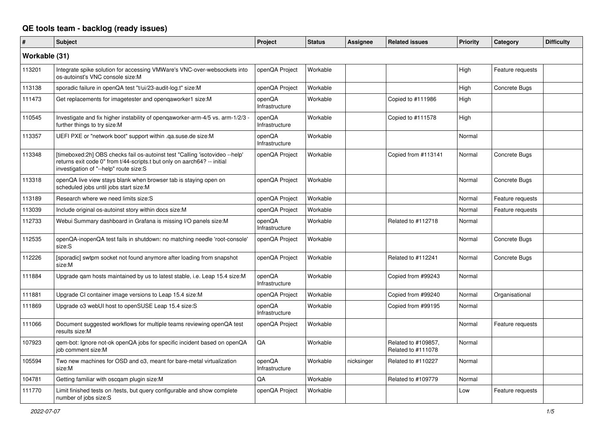## **QE tools team - backlog (ready issues)**

| #             | <b>Subject</b>                                                                                                                                                                                     | <b>Project</b>           | <b>Status</b> | <b>Assignee</b> | <b>Related issues</b>                     | Priority | Category         | <b>Difficulty</b> |
|---------------|----------------------------------------------------------------------------------------------------------------------------------------------------------------------------------------------------|--------------------------|---------------|-----------------|-------------------------------------------|----------|------------------|-------------------|
| Workable (31) |                                                                                                                                                                                                    |                          |               |                 |                                           |          |                  |                   |
| 113201        | Integrate spike solution for accessing VMWare's VNC-over-websockets into<br>os-autoinst's VNC console size:M                                                                                       | openQA Project           | Workable      |                 |                                           | High     | Feature requests |                   |
| 113138        | sporadic failure in openQA test "t/ui/23-audit-log.t" size:M                                                                                                                                       | openQA Project           | Workable      |                 |                                           | High     | Concrete Bugs    |                   |
| 111473        | Get replacements for imagetester and opengaworker1 size:M                                                                                                                                          | openQA<br>Infrastructure | Workable      |                 | Copied to #111986                         | High     |                  |                   |
| 110545        | Investigate and fix higher instability of openqaworker-arm-4/5 vs. arm-1/2/3 -<br>further things to try size:M                                                                                     | openQA<br>Infrastructure | Workable      |                 | Copied to #111578                         | High     |                  |                   |
| 113357        | UEFI PXE or "network boot" support within .ga.suse.de size:M                                                                                                                                       | openQA<br>Infrastructure | Workable      |                 |                                           | Normal   |                  |                   |
| 113348        | [timeboxed:2h] OBS checks fail os-autoinst test "Calling 'isotovideo --help'<br>returns exit code 0" from t/44-scripts.t but only on aarch64? -- initial<br>investigation of "--help" route size:S | openQA Project           | Workable      |                 | Copied from #113141                       | Normal   | Concrete Bugs    |                   |
| 113318        | openQA live view stays blank when browser tab is staying open on<br>scheduled jobs until jobs start size:M                                                                                         | openQA Project           | Workable      |                 |                                           | Normal   | Concrete Bugs    |                   |
| 113189        | Research where we need limits size:S                                                                                                                                                               | openQA Project           | Workable      |                 |                                           | Normal   | Feature requests |                   |
| 113039        | Include original os-autoinst story within docs size:M                                                                                                                                              | openQA Project           | Workable      |                 |                                           | Normal   | Feature requests |                   |
| 112733        | Webui Summary dashboard in Grafana is missing I/O panels size:M                                                                                                                                    | openQA<br>Infrastructure | Workable      |                 | Related to #112718                        | Normal   |                  |                   |
| 112535        | openQA-inopenQA test fails in shutdown: no matching needle 'root-console'<br>size:S                                                                                                                | openQA Project           | Workable      |                 |                                           | Normal   | Concrete Bugs    |                   |
| 112226        | [sporadic] swtpm socket not found anymore after loading from snapshot<br>size:M                                                                                                                    | openQA Project           | Workable      |                 | Related to #112241                        | Normal   | Concrete Bugs    |                   |
| 111884        | Upgrade gam hosts maintained by us to latest stable, i.e. Leap 15.4 size:M                                                                                                                         | openQA<br>Infrastructure | Workable      |                 | Copied from #99243                        | Normal   |                  |                   |
| 111881        | Upgrade CI container image versions to Leap 15.4 size:M                                                                                                                                            | openQA Project           | Workable      |                 | Copied from #99240                        | Normal   | Organisational   |                   |
| 111869        | Upgrade o3 webUI host to openSUSE Leap 15.4 size:S                                                                                                                                                 | openQA<br>Infrastructure | Workable      |                 | Copied from #99195                        | Normal   |                  |                   |
| 111066        | Document suggested workflows for multiple teams reviewing openQA test<br>results size:M                                                                                                            | openQA Project           | Workable      |                 |                                           | Normal   | Feature requests |                   |
| 107923        | gem-bot: Ignore not-ok openQA jobs for specific incident based on openQA<br>iob comment size:M                                                                                                     | QA                       | Workable      |                 | Related to #109857,<br>Related to #111078 | Normal   |                  |                   |
| 105594        | Two new machines for OSD and o3, meant for bare-metal virtualization<br>size:M                                                                                                                     | openQA<br>Infrastructure | Workable      | nicksinger      | Related to #110227                        | Normal   |                  |                   |
| 104781        | Getting familiar with oscgam plugin size:M                                                                                                                                                         | QA                       | Workable      |                 | Related to #109779                        | Normal   |                  |                   |
| 111770        | Limit finished tests on /tests, but query configurable and show complete<br>number of jobs size:S                                                                                                  | openQA Project           | Workable      |                 |                                           | Low      | Feature requests |                   |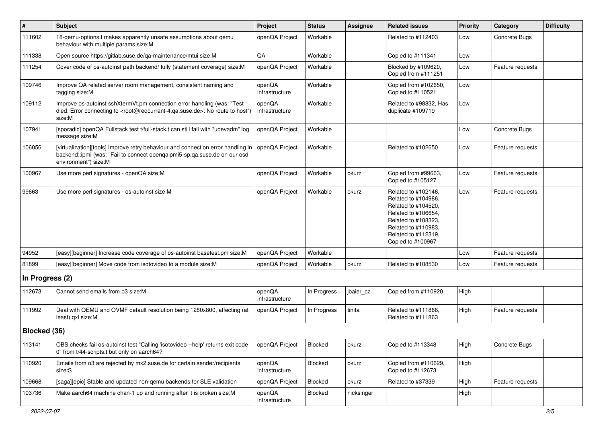| $\vert$ #       | Subject                                                                                                                                                                                           | Project                  | <b>Status</b> | <b>Assignee</b> | <b>Related issues</b>                                                                                                                                                              | <b>Priority</b> | Category         | <b>Difficulty</b> |
|-----------------|---------------------------------------------------------------------------------------------------------------------------------------------------------------------------------------------------|--------------------------|---------------|-----------------|------------------------------------------------------------------------------------------------------------------------------------------------------------------------------------|-----------------|------------------|-------------------|
| 111602          | 18-qemu-options.t makes apparently unsafe assumptions about qemu<br>behaviour with multiple params size:M                                                                                         | openQA Project           | Workable      |                 | Related to #112403                                                                                                                                                                 | Low             | Concrete Bugs    |                   |
| 111338          | Open source https://gitlab.suse.de/qa-maintenance/mtui size:M                                                                                                                                     | QA                       | Workable      |                 | Copied to #111341                                                                                                                                                                  | Low             |                  |                   |
| 111254          | Cover code of os-autoinst path backend/ fully (statement coverage) size:M                                                                                                                         | openQA Project           | Workable      |                 | Blocked by #109620,<br>Copied from #111251                                                                                                                                         | Low             | Feature requests |                   |
| 109746          | Improve QA related server room management, consistent naming and<br>tagging size:M                                                                                                                | openQA<br>Infrastructure | Workable      |                 | Copied from #102650,<br>Copied to #110521                                                                                                                                          | Low             |                  |                   |
| 109112          | Improve os-autoinst sshXtermVt.pm connection error handling (was: "Test<br>died: Error connecting to <root@redcurrant-4.ga.suse.de>: No route to host")<br/>size:M</root@redcurrant-4.ga.suse.de> | openQA<br>Infrastructure | Workable      |                 | Related to #98832. Has<br>duplicate #109719                                                                                                                                        | Low             |                  |                   |
| 107941          | [sporadic] openQA Fullstack test t/full-stack.t can still fail with "udevadm" log<br>message size:M                                                                                               | openQA Project           | Workable      |                 |                                                                                                                                                                                    | Low             | Concrete Bugs    |                   |
| 106056          | [virtualization][tools] Improve retry behaviour and connection error handling in<br>backend::ipmi (was: "Fail to connect openqaipmi5-sp.qa.suse.de on our osd<br>environment") size:M             | openQA Project           | Workable      |                 | Related to #102650                                                                                                                                                                 | Low             | Feature requests |                   |
| 100967          | Use more perl signatures - openQA size:M                                                                                                                                                          | openQA Project           | Workable      | okurz           | Copied from #99663,<br>Copied to #105127                                                                                                                                           | Low             | Feature requests |                   |
| 99663           | Use more perl signatures - os-autoinst size:M                                                                                                                                                     | openQA Project           | Workable      | okurz           | Related to #102146,<br>Related to #104986,<br>Related to #104520,<br>Related to #106654,<br>Related to #108323,<br>Related to #110983,<br>Related to #112319,<br>Copied to #100967 | Low             | Feature requests |                   |
| 94952           | [easy][beginner] Increase code coverage of os-autoinst basetest.pm size:M                                                                                                                         | openQA Project           | Workable      |                 |                                                                                                                                                                                    | Low             | Feature requests |                   |
| 81899           | [easy][beginner] Move code from isotovideo to a module size:M                                                                                                                                     | openQA Project           | Workable      | okurz           | Related to #108530                                                                                                                                                                 | Low             | Feature requests |                   |
| In Progress (2) |                                                                                                                                                                                                   |                          |               |                 |                                                                                                                                                                                    |                 |                  |                   |
| 112673          | Cannot send emails from o3 size:M                                                                                                                                                                 | openQA<br>Infrastructure | In Progress   | jbaier_cz       | Copied from #110920                                                                                                                                                                | High            |                  |                   |
| 111992          | Deal with QEMU and OVMF default resolution being 1280x800, affecting (at<br>least) qxl size:M                                                                                                     | openQA Project           | In Progress   | tinita          | Related to #111866,<br>Related to #111863                                                                                                                                          | High            | Feature requests |                   |
| Blocked (36)    |                                                                                                                                                                                                   |                          |               |                 |                                                                                                                                                                                    |                 |                  |                   |
| 113141          | OBS checks fail os-autoinst test "Calling 'isotovideo --help' returns exit code<br>0" from t/44-scripts.t but only on aarch64?                                                                    | openQA Project           | Blocked       | okurz           | Copied to #113348                                                                                                                                                                  | High            | Concrete Bugs    |                   |
| 110920          | Emails from o3 are rejected by mx2.suse.de for certain sender/recipients<br>size:S                                                                                                                | openQA<br>Infrastructure | Blocked       | okurz           | Copied from #110629,<br>Copied to #112673                                                                                                                                          | High            |                  |                   |
| 109668          | [saga][epic] Stable and updated non-qemu backends for SLE validation                                                                                                                              | openQA Project           | Blocked       | okurz           | Related to #37339                                                                                                                                                                  | High            | Feature requests |                   |
| 103736          | Make aarch64 machine chan-1 up and running after it is broken size:M                                                                                                                              | openQA<br>Infrastructure | Blocked       | nicksinger      |                                                                                                                                                                                    | High            |                  |                   |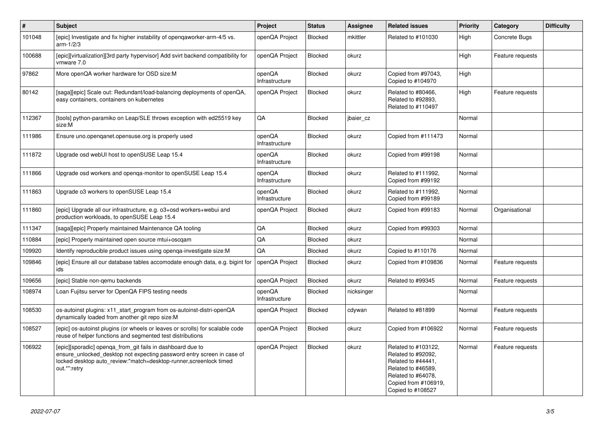| $\vert$ # | <b>Subject</b>                                                                                                                                                                                                             | Project                  | <b>Status</b>  | Assignee   | <b>Related issues</b>                                                                                                                                    | <b>Priority</b> | Category         | <b>Difficulty</b> |
|-----------|----------------------------------------------------------------------------------------------------------------------------------------------------------------------------------------------------------------------------|--------------------------|----------------|------------|----------------------------------------------------------------------------------------------------------------------------------------------------------|-----------------|------------------|-------------------|
| 101048    | [epic] Investigate and fix higher instability of opengaworker-arm-4/5 vs.<br>$arm-1/2/3$                                                                                                                                   | openQA Project           | Blocked        | mkittler   | Related to #101030                                                                                                                                       | High            | Concrete Bugs    |                   |
| 100688    | [epic][virtualization][3rd party hypervisor] Add svirt backend compatibility for<br>vmware 7.0                                                                                                                             | openQA Project           | Blocked        | okurz      |                                                                                                                                                          | High            | Feature requests |                   |
| 97862     | More openQA worker hardware for OSD size:M                                                                                                                                                                                 | openQA<br>Infrastructure | <b>Blocked</b> | okurz      | Copied from #97043,<br>Copied to #104970                                                                                                                 | High            |                  |                   |
| 80142     | [saga][epic] Scale out: Redundant/load-balancing deployments of openQA,<br>easy containers, containers on kubernetes                                                                                                       | openQA Project           | Blocked        | okurz      | Related to #80466,<br>Related to #92893,<br>Related to #110497                                                                                           | High            | Feature requests |                   |
| 112367    | [tools] python-paramiko on Leap/SLE throws exception with ed25519 key<br>size:M                                                                                                                                            | QA                       | Blocked        | jbaier_cz  |                                                                                                                                                          | Normal          |                  |                   |
| 111986    | Ensure uno.openganet.opensuse.org is properly used                                                                                                                                                                         | openQA<br>Infrastructure | <b>Blocked</b> | okurz      | Copied from #111473                                                                                                                                      | Normal          |                  |                   |
| 111872    | Upgrade osd webUI host to openSUSE Leap 15.4                                                                                                                                                                               | openQA<br>Infrastructure | Blocked        | okurz      | Copied from #99198                                                                                                                                       | Normal          |                  |                   |
| 111866    | Upgrade osd workers and openga-monitor to openSUSE Leap 15.4                                                                                                                                                               | openQA<br>Infrastructure | Blocked        | okurz      | Related to #111992.<br>Copied from #99192                                                                                                                | Normal          |                  |                   |
| 111863    | Upgrade o3 workers to openSUSE Leap 15.4                                                                                                                                                                                   | openQA<br>Infrastructure | Blocked        | okurz      | Related to #111992,<br>Copied from #99189                                                                                                                | Normal          |                  |                   |
| 111860    | [epic] Upgrade all our infrastructure, e.g. o3+osd workers+webui and<br>production workloads, to openSUSE Leap 15.4                                                                                                        | openQA Project           | <b>Blocked</b> | okurz      | Copied from #99183                                                                                                                                       | Normal          | Organisational   |                   |
| 111347    | [saga][epic] Properly maintained Maintenance QA tooling                                                                                                                                                                    | QA                       | <b>Blocked</b> | okurz      | Copied from #99303                                                                                                                                       | Normal          |                  |                   |
| 110884    | [epic] Properly maintained open source mtui+oscqam                                                                                                                                                                         | QA                       | <b>Blocked</b> | okurz      |                                                                                                                                                          | Normal          |                  |                   |
| 109920    | Identify reproducible product issues using openga-investigate size: M                                                                                                                                                      | QA                       | <b>Blocked</b> | okurz      | Copied to #110176                                                                                                                                        | Normal          |                  |                   |
| 109846    | [epic] Ensure all our database tables accomodate enough data, e.g. bigint for<br>ids                                                                                                                                       | openQA Project           | <b>Blocked</b> | okurz      | Copied from #109836                                                                                                                                      | Normal          | Feature requests |                   |
| 109656    | [epic] Stable non-gemu backends                                                                                                                                                                                            | openQA Project           | <b>Blocked</b> | okurz      | Related to #99345                                                                                                                                        | Normal          | Feature requests |                   |
| 108974    | Loan Fujitsu server for OpenQA FIPS testing needs                                                                                                                                                                          | openQA<br>Infrastructure | Blocked        | nicksinger |                                                                                                                                                          | Normal          |                  |                   |
| 108530    | os-autoinst plugins: x11 start program from os-autoinst-distri-openQA<br>dynamically loaded from another git repo size:M                                                                                                   | openQA Project           | <b>Blocked</b> | cdywan     | Related to #81899                                                                                                                                        | Normal          | Feature requests |                   |
| 108527    | [epic] os-autoinst plugins (or wheels or leaves or scrolls) for scalable code<br>reuse of helper functions and segmented test distributions                                                                                | openQA Project           | <b>Blocked</b> | okurz      | Copied from #106922                                                                                                                                      | Normal          | Feature requests |                   |
| 106922    | [epic][sporadic] openga_from_git fails in dashboard due to<br>ensure unlocked desktop not expecting password entry screen in case of<br>locked desktop auto review:"match=desktop-runner, screenlock timed<br>out.*":retry | openQA Project           | Blocked        | okurz      | Related to #103122,<br>Related to #92092.<br>Related to #44441,<br>Related to #46589,<br>Related to #64078,<br>Copied from #106919,<br>Copied to #108527 | Normal          | Feature requests |                   |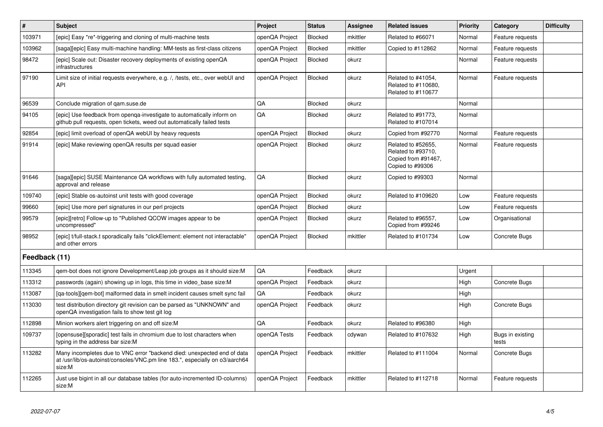| $\vert$ #     | <b>Subject</b>                                                                                                                                                    | <b>Project</b> | <b>Status</b>  | <b>Assignee</b> | <b>Related issues</b>                                                               | Priority | Category                  | <b>Difficulty</b> |
|---------------|-------------------------------------------------------------------------------------------------------------------------------------------------------------------|----------------|----------------|-----------------|-------------------------------------------------------------------------------------|----------|---------------------------|-------------------|
| 103971        | [epic] Easy *re*-triggering and cloning of multi-machine tests                                                                                                    | openQA Project | <b>Blocked</b> | mkittler        | Related to #66071                                                                   | Normal   | Feature requests          |                   |
| 103962        | [saga][epic] Easy multi-machine handling: MM-tests as first-class citizens                                                                                        | openQA Project | Blocked        | mkittler        | Copied to #112862                                                                   | Normal   | Feature requests          |                   |
| 98472         | [epic] Scale out: Disaster recovery deployments of existing openQA<br><i>infrastructures</i>                                                                      | openQA Project | Blocked        | okurz           |                                                                                     | Normal   | Feature requests          |                   |
| 97190         | Limit size of initial requests everywhere, e.g. /, /tests, etc., over webUI and<br><b>API</b>                                                                     | openQA Project | <b>Blocked</b> | okurz           | Related to #41054,<br>Related to #110680,<br>Related to #110677                     | Normal   | Feature requests          |                   |
| 96539         | Conclude migration of gam.suse.de                                                                                                                                 | QA             | <b>Blocked</b> | okurz           |                                                                                     | Normal   |                           |                   |
| 94105         | [epic] Use feedback from openga-investigate to automatically inform on<br>github pull requests, open tickets, weed out automatically failed tests                 | QA             | Blocked        | okurz           | Related to #91773,<br>Related to #107014                                            | Normal   |                           |                   |
| 92854         | [epic] limit overload of openQA webUI by heavy requests                                                                                                           | openQA Project | Blocked        | okurz           | Copied from #92770                                                                  | Normal   | Feature requests          |                   |
| 91914         | [epic] Make reviewing openQA results per squad easier                                                                                                             | openQA Project | Blocked        | okurz           | Related to #52655,<br>Related to #93710,<br>Copied from #91467,<br>Copied to #99306 | Normal   | Feature requests          |                   |
| 91646         | [saga][epic] SUSE Maintenance QA workflows with fully automated testing,<br>approval and release                                                                  | QA             | Blocked        | okurz           | Copied to #99303                                                                    | Normal   |                           |                   |
| 109740        | [epic] Stable os-autoinst unit tests with good coverage                                                                                                           | openQA Project | Blocked        | okurz           | Related to #109620                                                                  | Low      | Feature requests          |                   |
| 99660         | [epic] Use more perl signatures in our perl projects                                                                                                              | openQA Project | Blocked        | okurz           |                                                                                     | Low      | Feature requests          |                   |
| 99579         | [epic][retro] Follow-up to "Published QCOW images appear to be<br>uncompressed"                                                                                   | openQA Project | <b>Blocked</b> | okurz           | Related to #96557,<br>Copied from #99246                                            | Low      | Organisational            |                   |
| 98952         | [epic] t/full-stack.t sporadically fails "clickElement: element not interactable"<br>and other errors                                                             | openQA Project | Blocked        | mkittler        | Related to #101734                                                                  | Low      | Concrete Bugs             |                   |
| Feedback (11) |                                                                                                                                                                   |                |                |                 |                                                                                     |          |                           |                   |
| 113345        | gem-bot does not ignore Development/Leap job groups as it should size: M                                                                                          | QA             | Feedback       | okurz           |                                                                                     | Urgent   |                           |                   |
| 113312        | passwords (again) showing up in logs, this time in video_base size:M                                                                                              | openQA Project | Feedback       | okurz           |                                                                                     | High     | Concrete Bugs             |                   |
| 113087        | [ga-tools][gem-bot] malformed data in smelt incident causes smelt sync fail                                                                                       | QA             | Feedback       | okurz           |                                                                                     | High     |                           |                   |
| 113030        | test distribution directory git revision can be parsed as "UNKNOWN" and<br>openQA investigation fails to show test git log                                        | openQA Project | Feedback       | okurz           |                                                                                     | High     | Concrete Bugs             |                   |
| 112898        | Minion workers alert triggering on and off size:M                                                                                                                 | QA             | Feedback       | okurz           | Related to #96380                                                                   | High     |                           |                   |
| 109737        | [opensuse][sporadic] test fails in chromium due to lost characters when<br>typing in the address bar size:M                                                       | openQA Tests   | Feedback       | cdywan          | Related to #107632                                                                  | High     | Bugs in existing<br>tests |                   |
| 113282        | Many incompletes due to VNC error "backend died: unexpected end of data<br>at /usr/lib/os-autoinst/consoles/VNC.pm line 183.", especially on o3/aarch64<br>size:M | openQA Project | Feedback       | mkittler        | Related to #111004                                                                  | Normal   | Concrete Bugs             |                   |
| 112265        | Just use bigint in all our database tables (for auto-incremented ID-columns)<br>size:M                                                                            | openQA Project | Feedback       | mkittler        | Related to #112718                                                                  | Normal   | Feature requests          |                   |